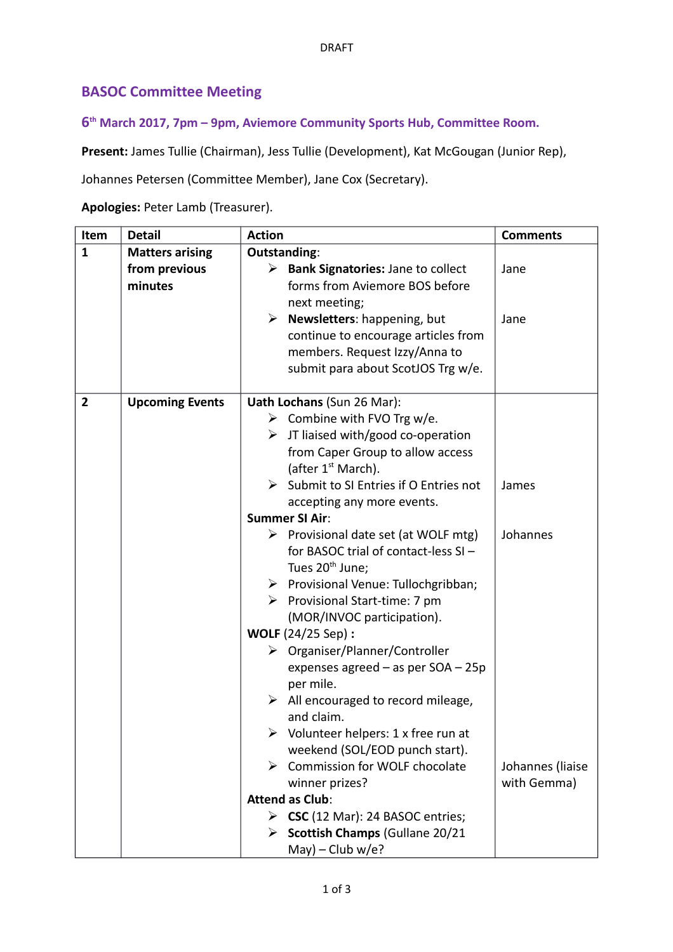## **BASOC Committee Meeting**

## **6 th March 2017, 7pm – 9pm, Aviemore Community Sports Hub, Committee Room.**

**Present:** James Tullie (Chairman), Jess Tullie (Development), Kat McGougan (Junior Rep),

Johannes Petersen (Committee Member), Jane Cox (Secretary).

**Apologies:** Peter Lamb (Treasurer).

| Item           | <b>Detail</b>          | <b>Action</b>                                                      | <b>Comments</b>  |
|----------------|------------------------|--------------------------------------------------------------------|------------------|
| $\mathbf{1}$   | <b>Matters arising</b> | Outstanding:                                                       |                  |
|                | from previous          | <b>Bank Signatories: Jane to collect</b><br>➤                      | Jane             |
|                | minutes                | forms from Aviemore BOS before                                     |                  |
|                |                        | next meeting;                                                      |                  |
|                |                        | Newsletters: happening, but<br>➤                                   | Jane             |
|                |                        | continue to encourage articles from                                |                  |
|                |                        | members. Request Izzy/Anna to                                      |                  |
|                |                        | submit para about ScotJOS Trg w/e.                                 |                  |
|                |                        |                                                                    |                  |
| $\overline{2}$ | <b>Upcoming Events</b> | Uath Lochans (Sun 26 Mar):                                         |                  |
|                |                        | $\triangleright$ Combine with FVO Trg w/e.                         |                  |
|                |                        | $\triangleright$ JT liaised with/good co-operation                 |                  |
|                |                        | from Caper Group to allow access<br>(after 1 <sup>st</sup> March). |                  |
|                |                        | $\triangleright$ Submit to SI Entries if O Entries not             | James            |
|                |                        | accepting any more events.                                         |                  |
|                |                        | <b>Summer SI Air:</b>                                              |                  |
|                |                        | $\triangleright$ Provisional date set (at WOLF mtg)                | Johannes         |
|                |                        | for BASOC trial of contact-less SI-                                |                  |
|                |                        | Tues 20 <sup>th</sup> June;                                        |                  |
|                |                        | > Provisional Venue: Tullochgribban;                               |                  |
|                |                        | $\triangleright$ Provisional Start-time: 7 pm                      |                  |
|                |                        | (MOR/INVOC participation).                                         |                  |
|                |                        | <b>WOLF</b> (24/25 Sep) :                                          |                  |
|                |                        | > Organiser/Planner/Controller                                     |                  |
|                |                        | expenses agreed - as per SOA - 25p                                 |                  |
|                |                        | per mile.                                                          |                  |
|                |                        | $\triangleright$ All encouraged to record mileage,                 |                  |
|                |                        | and claim.                                                         |                  |
|                |                        | $\triangleright$ Volunteer helpers: 1 x free run at                |                  |
|                |                        | weekend (SOL/EOD punch start).                                     |                  |
|                |                        | > Commission for WOLF chocolate                                    | Johannes (liaise |
|                |                        | winner prizes?                                                     | with Gemma)      |
|                |                        | <b>Attend as Club:</b>                                             |                  |
|                |                        | $\triangleright$ CSC (12 Mar): 24 BASOC entries;                   |                  |
|                |                        | Scottish Champs (Gullane 20/21<br>➤                                |                  |
|                |                        | $May) - Club w/e?$                                                 |                  |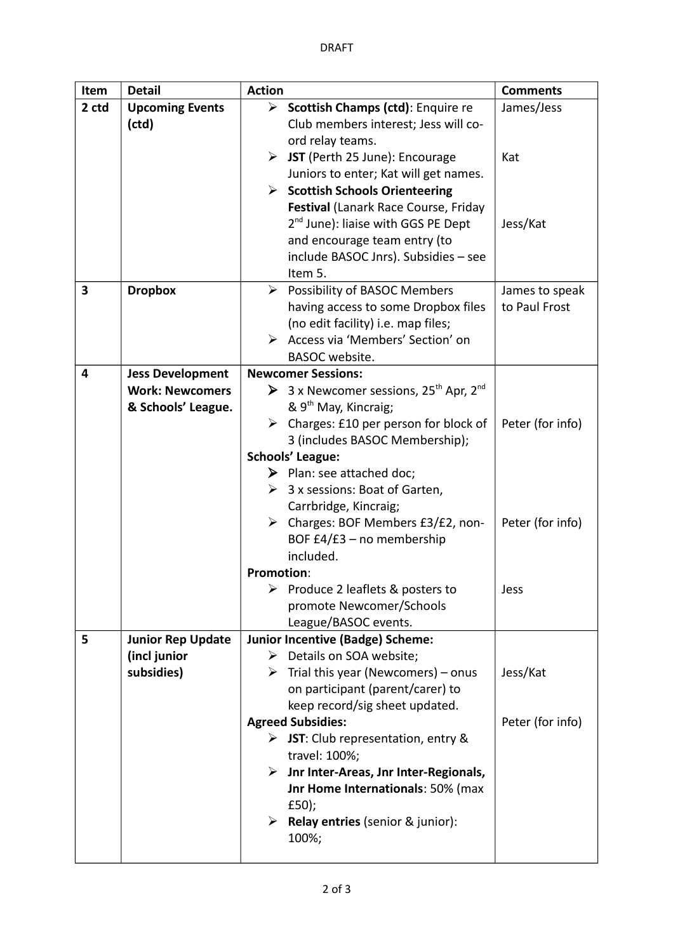| Item  | <b>Detail</b>            | <b>Action</b>                                                                           | <b>Comments</b>  |
|-------|--------------------------|-----------------------------------------------------------------------------------------|------------------|
| 2 ctd | <b>Upcoming Events</b>   | Scottish Champs (ctd): Enquire re                                                       | James/Jess       |
|       | (ctd)                    | Club members interest; Jess will co-                                                    |                  |
|       |                          | ord relay teams.                                                                        |                  |
|       |                          | $\triangleright$ JST (Perth 25 June): Encourage                                         | Kat              |
|       |                          | Juniors to enter; Kat will get names.                                                   |                  |
|       |                          | $\triangleright$ Scottish Schools Orienteering                                          |                  |
|       |                          | Festival (Lanark Race Course, Friday                                                    |                  |
|       |                          | 2 <sup>nd</sup> June): liaise with GGS PE Dept                                          | Jess/Kat         |
|       |                          | and encourage team entry (to                                                            |                  |
|       |                          | include BASOC Jnrs). Subsidies - see                                                    |                  |
|       |                          | Item 5.                                                                                 |                  |
| 3     | <b>Dropbox</b>           | $\triangleright$ Possibility of BASOC Members                                           | James to speak   |
|       |                          | having access to some Dropbox files                                                     | to Paul Frost    |
|       |                          | (no edit facility) i.e. map files;                                                      |                  |
|       |                          | > Access via 'Members' Section' on                                                      |                  |
|       |                          | <b>BASOC</b> website.                                                                   |                  |
| 4     | <b>Jess Development</b>  | <b>Newcomer Sessions:</b>                                                               |                  |
|       | <b>Work: Newcomers</b>   | > 3 x Newcomer sessions, $25^{th}$ Apr, $2^{nd}$<br>& 9 <sup>th</sup> May, Kincraig;    |                  |
|       | & Schools' League.       |                                                                                         |                  |
|       |                          | $\triangleright$ Charges: £10 per person for block of<br>3 (includes BASOC Membership); | Peter (for info) |
|       |                          | <b>Schools' League:</b>                                                                 |                  |
|       |                          | $\triangleright$ Plan: see attached doc;                                                |                  |
|       |                          | $\triangleright$ 3 x sessions: Boat of Garten,                                          |                  |
|       |                          | Carrbridge, Kincraig;                                                                   |                  |
|       |                          | $\triangleright$ Charges: BOF Members £3/£2, non-                                       | Peter (for info) |
|       |                          | BOF £4/£3 - no membership                                                               |                  |
|       |                          | included.                                                                               |                  |
|       |                          | <b>Promotion:</b>                                                                       |                  |
|       |                          | Produce 2 leaflets & posters to                                                         | Jess             |
|       |                          | promote Newcomer/Schools                                                                |                  |
|       |                          | League/BASOC events.                                                                    |                  |
| 5     | <b>Junior Rep Update</b> | <b>Junior Incentive (Badge) Scheme:</b>                                                 |                  |
|       | (incl junior             | $\triangleright$ Details on SOA website;                                                |                  |
|       | subsidies)               | $\triangleright$ Trial this year (Newcomers) – onus                                     | Jess/Kat         |
|       |                          | on participant (parent/carer) to                                                        |                  |
|       |                          | keep record/sig sheet updated.                                                          |                  |
|       |                          | <b>Agreed Subsidies:</b>                                                                | Peter (for info) |
|       |                          | $\triangleright$ JST: Club representation, entry &                                      |                  |
|       |                          | travel: 100%;                                                                           |                  |
|       |                          | Jnr Inter-Areas, Jnr Inter-Regionals,<br>➤                                              |                  |
|       |                          | Jnr Home Internationals: 50% (max                                                       |                  |
|       |                          | £50);                                                                                   |                  |
|       |                          | Example 2 Nelay entries (senior & junior):                                              |                  |
|       |                          | 100%;                                                                                   |                  |
|       |                          |                                                                                         |                  |